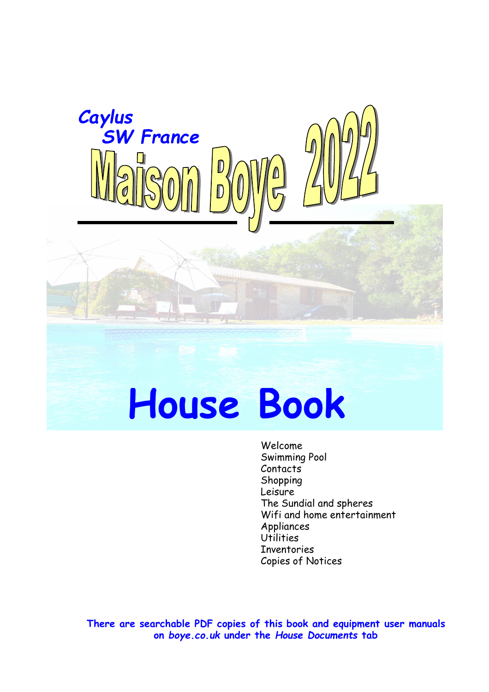

# **House Book**

Welcome Swimming Pool Contacts Shopping Leisure The Sundial and spheres Wifi and home entertainment Appliances Utilities Inventories Copies of Notices

**There are searchable PDF copies of this book and equipment user manuals on** *boye.co.uk* **under the** *House Documents* **tab**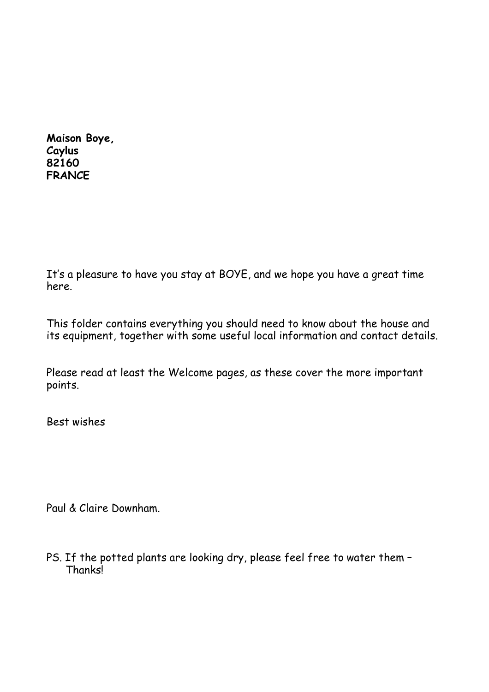**Maison Boye, Caylus 82160 FRANCE**

It's a pleasure to have you stay at BOYE, and we hope you have a great time here.

This folder contains everything you should need to know about the house and its equipment, together with some useful local information and contact details.

Please read at least the Welcome pages, as these cover the more important points.

Best wishes

Paul & Claire Downham.

PS. If the potted plants are looking dry, please feel free to water them – Thanks!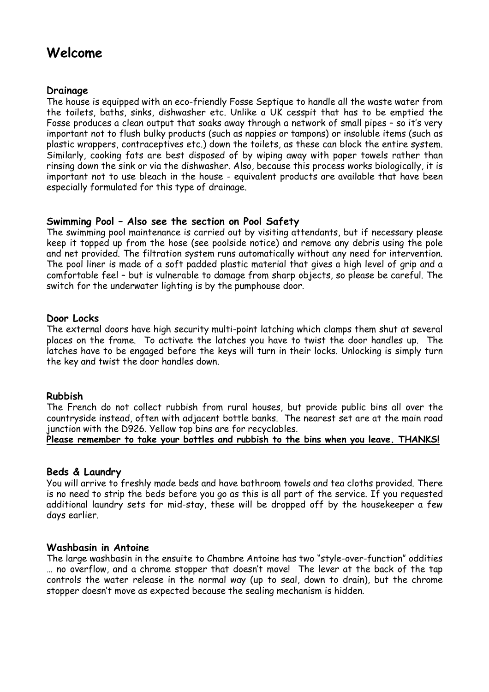## **Welcome**

#### **Drainage**

The house is equipped with an eco-friendly Fosse Septique to handle all the waste water from the toilets, baths, sinks, dishwasher etc. Unlike a UK cesspit that has to be emptied the Fosse produces a clean output that soaks away through a network of small pipes – so it's very important not to flush bulky products (such as nappies or tampons) or insoluble items (such as plastic wrappers, contraceptives etc.) down the toilets, as these can block the entire system. Similarly, cooking fats are best disposed of by wiping away with paper towels rather than rinsing down the sink or via the dishwasher. Also, because this process works biologically, it is important not to use bleach in the house - equivalent products are available that have been especially formulated for this type of drainage.

#### **Swimming Pool – Also see the section on Pool Safety**

The swimming pool maintenance is carried out by visiting attendants, but if necessary please keep it topped up from the hose (see poolside notice) and remove any debris using the pole and net provided. The filtration system runs automatically without any need for intervention. The pool liner is made of a soft padded plastic material that gives a high level of grip and a comfortable feel – but is vulnerable to damage from sharp objects, so please be careful. The switch for the underwater lighting is by the pumphouse door.

#### **Door Locks**

The external doors have high security multi-point latching which clamps them shut at several places on the frame. To activate the latches you have to twist the door handles up. The latches have to be engaged before the keys will turn in their locks. Unlocking is simply turn the key and twist the door handles down.

#### **Rubbish**

The French do not collect rubbish from rural houses, but provide public bins all over the countryside instead, often with adjacent bottle banks. The nearest set are at the main road junction with the D926. Yellow top bins are for recyclables.

#### **Please remember to take your bottles and rubbish to the bins when you leave. THANKS!**

#### **Beds & Laundry**

You will arrive to freshly made beds and have bathroom towels and tea cloths provided. There is no need to strip the beds before you go as this is all part of the service. If you requested additional laundry sets for mid-stay, these will be dropped off by the housekeeper a few days earlier.

#### **Washbasin in Antoine**

The large washbasin in the ensuite to Chambre Antoine has two "style-over-function" oddities … no overflow, and a chrome stopper that doesn't move! The lever at the back of the tap controls the water release in the normal way (up to seal, down to drain), but the chrome stopper doesn't move as expected because the sealing mechanism is hidden.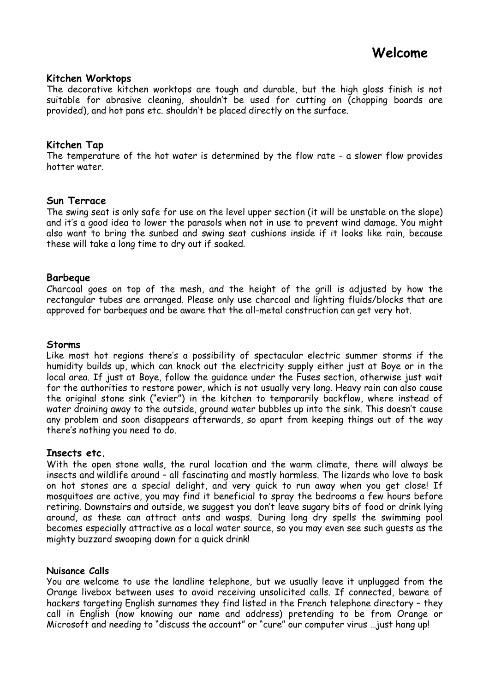#### **Kitchen Worktops**

The decorative kitchen worktops are tough and durable, but the high gloss finish is not suitable for abrasive cleaning, shouldn't be used for cutting on (chopping boards are provided), and hot pans etc. shouldn't be placed directly on the surface.

#### **Kitchen Tap**

The temperature of the hot water is determined by the flow rate - a slower flow provides hotter water.

#### **Sun Terrace**

The swing seat is only safe for use on the level upper section (it will be unstable on the slope) and it's a good idea to lower the parasols when not in use to prevent wind damage. You might also want to bring the sunbed and swing seat cushions inside if it looks like rain, because these will take a long time to dry out if soaked.

#### **Barbeque**

Charcoal goes on top of the mesh, and the height of the grill is adjusted by how the rectangular tubes are arranged. Please only use charcoal and lighting fluids/blocks that are approved for barbeques and be aware that the all-metal construction can get very hot.

#### **Storms**

Like most hot regions there's a possibility of spectacular electric summer storms if the humidity builds up, which can knock out the electricity supply either just at Boye or in the local area. If just at Boye, follow the guidance under the Fuses section, otherwise just wait for the authorities to restore power, which is not usually very long. Heavy rain can also cause the original stone sink ("evier") in the kitchen to temporarily backflow, where instead of water draining away to the outside, ground water bubbles up into the sink. This doesn't cause any problem and soon disappears afterwards, so apart from keeping things out of the way there's nothing you need to do.

#### **Insects etc.**

With the open stone walls, the rural location and the warm climate, there will always be insects and wildlife around – all fascinating and mostly harmless. The lizards who love to bask on hot stones are a special delight, and very quick to run away when you get close! If mosquitoes are active, you may find it beneficial to spray the bedrooms a few hours before retiring. Downstairs and outside, we suggest you don't leave sugary bits of food or drink lying around, as these can attract ants and wasps. During long dry spells the swimming pool becomes especially attractive as a local water source, so you may even see such guests as the mighty buzzard swooping down for a quick drink!

#### **Nuisance Calls**

You are welcome to use the landline telephone, but we usually leave it unplugged from the Orange livebox between uses to avoid receiving unsolicited calls. If connected, beware of hackers targeting English surnames they find listed in the French telephone directory – they call in English (now knowing our name and address) pretending to be from Orange or Microsoft and needing to "discuss the account" or "cure" our computer virus …just hang up!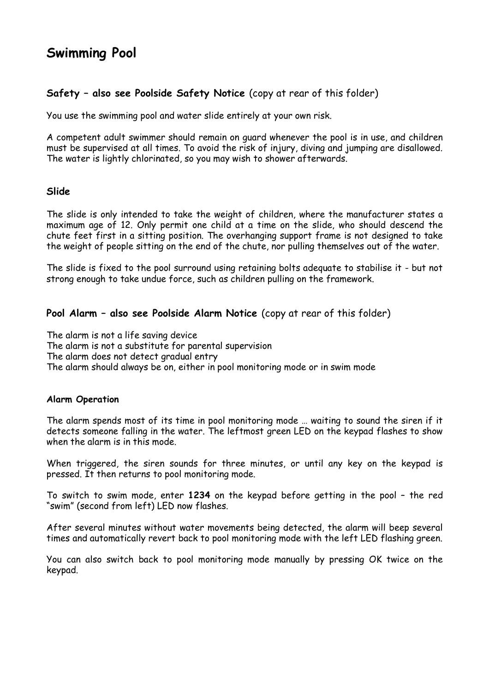## **Swimming Pool**

#### **Safety – also see Poolside Safety Notice** (copy at rear of this folder)

You use the swimming pool and water slide entirely at your own risk.

A competent adult swimmer should remain on guard whenever the pool is in use, and children must be supervised at all times. To avoid the risk of injury, diving and jumping are disallowed. The water is lightly chlorinated, so you may wish to shower afterwards.

#### **Slide**

The slide is only intended to take the weight of children, where the manufacturer states a maximum age of 12. Only permit one child at a time on the slide, who should descend the chute feet first in a sitting position. The overhanging support frame is not designed to take the weight of people sitting on the end of the chute, nor pulling themselves out of the water.

The slide is fixed to the pool surround using retaining bolts adequate to stabilise it - but not strong enough to take undue force, such as children pulling on the framework.

#### **Pool Alarm – also see Poolside Alarm Notice** (copy at rear of this folder)

The alarm is not a life saving device The alarm is not a substitute for parental supervision The alarm does not detect gradual entry The alarm should always be on, either in pool monitoring mode or in swim mode

#### **Alarm Operation**

The alarm spends most of its time in pool monitoring mode … waiting to sound the siren if it detects someone falling in the water. The leftmost green LED on the keypad flashes to show when the alarm is in this mode.

When triggered, the siren sounds for three minutes, or until any key on the keypad is pressed. It then returns to pool monitoring mode.

To switch to swim mode, enter **1234** on the keypad before getting in the pool – the red "swim" (second from left) LED now flashes.

After several minutes without water movements being detected, the alarm will beep several times and automatically revert back to pool monitoring mode with the left LED flashing green.

You can also switch back to pool monitoring mode manually by pressing OK twice on the keypad.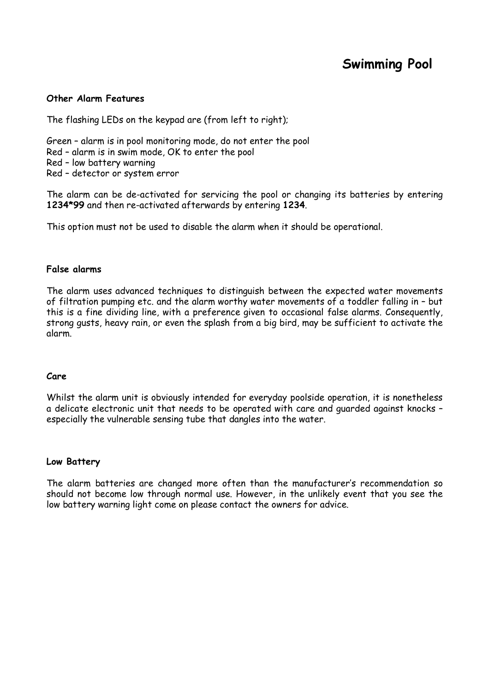## **Swimming Pool**

#### **Other Alarm Features**

The flashing LEDs on the keypad are (from left to right);

Green – alarm is in pool monitoring mode, do not enter the pool Red – alarm is in swim mode, OK to enter the pool Red – low battery warning Red – detector or system error

The alarm can be de-activated for servicing the pool or changing its batteries by entering **1234\*99** and then re-activated afterwards by entering **1234**.

This option must not be used to disable the alarm when it should be operational.

#### **False alarms**

The alarm uses advanced techniques to distinguish between the expected water movements of filtration pumping etc. and the alarm worthy water movements of a toddler falling in – but this is a fine dividing line, with a preference given to occasional false alarms. Consequently, strong gusts, heavy rain, or even the splash from a big bird, may be sufficient to activate the alarm.

#### **Care**

Whilst the alarm unit is obviously intended for everyday poolside operation, it is nonetheless a delicate electronic unit that needs to be operated with care and guarded against knocks – especially the vulnerable sensing tube that dangles into the water.

#### **Low Battery**

The alarm batteries are changed more often than the manufacturer's recommendation so should not become low through normal use. However, in the unlikely event that you see the low battery warning light come on please contact the owners for advice.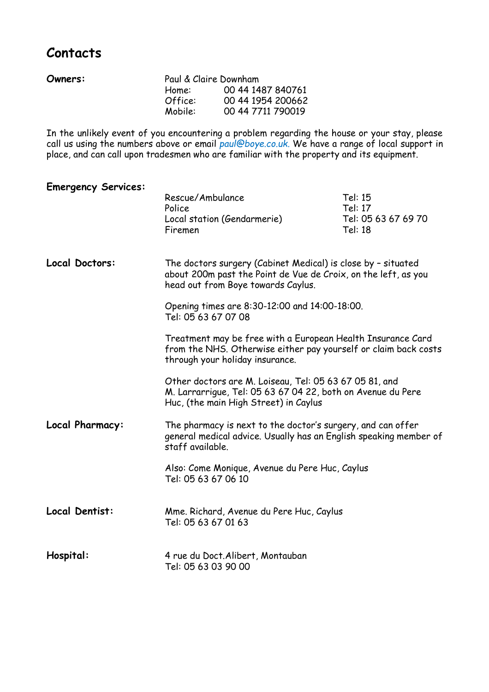## **Contacts**

| Owners: | Paul & Claire Downham |                   |
|---------|-----------------------|-------------------|
|         | Home:                 | 00 44 1487 840761 |
|         | Office:               | 00 44 1954 200662 |
|         | Mobile:               | 00 44 7711 790019 |

In the unlikely event of you encountering a problem regarding the house or your stay, please call us using the numbers above or email *[paul@boye.co.uk.](mailto:paul@boye.co.uk.)* We have a range of local support in place, and can call upon tradesmen who are familiar with the property and its equipment.

| <b>Emergency Services:</b> | Rescue/Ambulance<br>Police<br>Local station (Gendarmerie)<br>Firemen                                                                                                 | Tel: 15<br>Tel: 17<br>Tel: 05 63 67 69 70<br>Tel: 18 |
|----------------------------|----------------------------------------------------------------------------------------------------------------------------------------------------------------------|------------------------------------------------------|
| Local Doctors:             | The doctors surgery (Cabinet Medical) is close by - situated<br>about 200m past the Point de Vue de Croix, on the left, as you<br>head out from Boye towards Caylus. |                                                      |
|                            | Opening times are 8:30-12:00 and 14:00-18:00.<br>Tel: 05 63 67 07 08                                                                                                 |                                                      |
|                            | Treatment may be free with a European Health Insurance Card<br>from the NHS. Otherwise either pay yourself or claim back costs<br>through your holiday insurance.    |                                                      |
|                            | Other doctors are M. Loiseau, Tel: 05 63 67 05 81, and<br>M. Larrarrigue, Tel: 05 63 67 04 22, both on Avenue du Pere<br>Huc, (the main High Street) in Caylus       |                                                      |
| Local Pharmacy:            | The pharmacy is next to the doctor's surgery, and can offer<br>general medical advice. Usually has an English speaking member of<br>staff available.                 |                                                      |
|                            | Also: Come Monique, Avenue du Pere Huc, Caylus<br>Tel: 05 63 67 06 10                                                                                                |                                                      |
| Local Dentist:             | Mme. Richard, Avenue du Pere Huc, Caylus<br>Tel: 05 63 67 01 63                                                                                                      |                                                      |
| Hospital:                  | 4 rue du Doct. Alibert, Montauban<br>Tel: 05 63 03 90 00                                                                                                             |                                                      |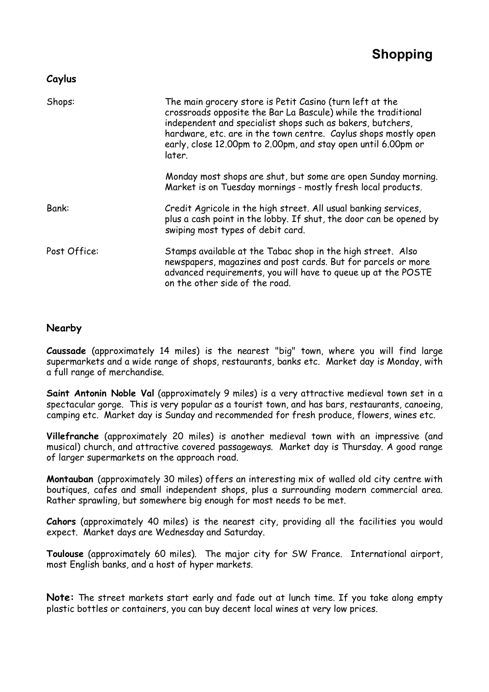#### **Caylus**

| Shops:       | The main grocery store is Petit Casino (turn left at the<br>crossroads opposite the Bar La Bascule) while the traditional<br>independent and specialist shops such as bakers, butchers,<br>hardware, etc. are in the town centre. Caylus shops mostly open<br>early, close 12.00pm to 2.00pm, and stay open until 6.00pm or<br>later. |  |
|--------------|---------------------------------------------------------------------------------------------------------------------------------------------------------------------------------------------------------------------------------------------------------------------------------------------------------------------------------------|--|
|              | Monday most shops are shut, but some are open Sunday morning.<br>Market is on Tuesday mornings - mostly fresh local products.                                                                                                                                                                                                         |  |
| Bank:        | Credit Agricole in the high street. All usual banking services,<br>plus a cash point in the lobby. If shut, the door can be opened by<br>swiping most types of debit card.                                                                                                                                                            |  |
| Post Office: | Stamps available at the Tabac shop in the high street. Also<br>newspapers, magazines and post cards. But for parcels or more<br>advanced requirements, you will have to queue up at the POSTE<br>on the other side of the road.                                                                                                       |  |

#### **Nearby**

**Caussade** (approximately 14 miles) is the nearest "big" town, where you will find large supermarkets and a wide range of shops, restaurants, banks etc. Market day is Monday, with a full range of merchandise.

**Saint Antonin Noble Val** (approximately 9 miles) is a very attractive medieval town set in a spectacular gorge. This is very popular as a tourist town, and has bars, restaurants, canoeing, camping etc. Market day is Sunday and recommended for fresh produce, flowers, wines etc.

**Villefranche** (approximately 20 miles) is another medieval town with an impressive (and musical) church, and attractive covered passageways. Market day is Thursday. A good range of larger supermarkets on the approach road.

**Montauban** (approximately 30 miles) offers an interesting mix of walled old city centre with boutiques, cafes and small independent shops, plus a surrounding modern commercial area. Rather sprawling, but somewhere big enough for most needs to be met.

**Cahors** (approximately 40 miles) is the nearest city, providing all the facilities you would expect. Market days are Wednesday and Saturday.

**Toulouse** (approximately 60 miles). The major city for SW France. International airport, most English banks, and a host of hyper markets.

**Note:** The street markets start early and fade out at lunch time. If you take along empty plastic bottles or containers, you can buy decent local wines at very low prices.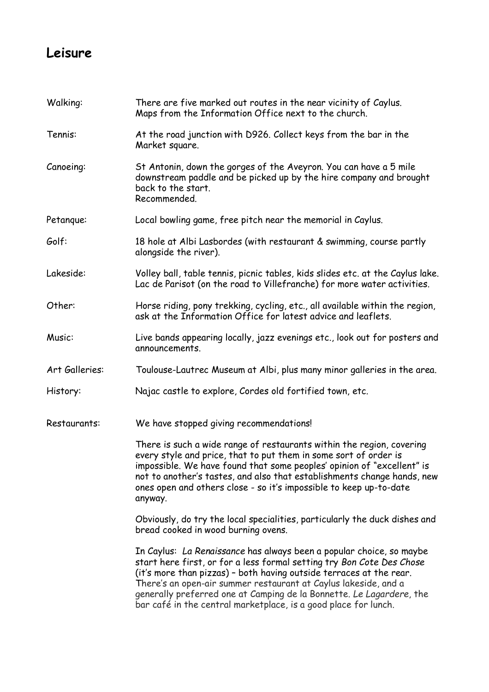## **Leisure**

| Walking:       | There are five marked out routes in the near vicinity of Caylus.<br>Maps from the Information Office next to the church.                                                                                                                                                                                                                                                                                                           |  |
|----------------|------------------------------------------------------------------------------------------------------------------------------------------------------------------------------------------------------------------------------------------------------------------------------------------------------------------------------------------------------------------------------------------------------------------------------------|--|
| Tennis:        | At the road junction with D926. Collect keys from the bar in the<br>Market square.                                                                                                                                                                                                                                                                                                                                                 |  |
| Canoeing:      | St Antonin, down the gorges of the Aveyron. You can have a 5 mile<br>downstream paddle and be picked up by the hire company and brought<br>back to the start.<br>Recommended.                                                                                                                                                                                                                                                      |  |
| Petangue:      | Local bowling game, free pitch near the memorial in Caylus.                                                                                                                                                                                                                                                                                                                                                                        |  |
| Golf:          | 18 hole at Albi Lasbordes (with restaurant & swimming, course partly<br>alongside the river).                                                                                                                                                                                                                                                                                                                                      |  |
| Lakeside:      | Volley ball, table tennis, picnic tables, kids slides etc. at the Caylus lake.<br>Lac de Parisot (on the road to Villefranche) for more water activities.                                                                                                                                                                                                                                                                          |  |
| Other:         | Horse riding, pony trekking, cycling, etc., all available within the region,<br>ask at the Information Office for latest advice and leaflets.                                                                                                                                                                                                                                                                                      |  |
| Music:         | Live bands appearing locally, jazz evenings etc., look out for posters and<br>announcements.                                                                                                                                                                                                                                                                                                                                       |  |
| Art Galleries: | Toulouse-Lautrec Museum at Albi, plus many minor galleries in the area.                                                                                                                                                                                                                                                                                                                                                            |  |
| History:       | Najac castle to explore, Cordes old fortified town, etc.                                                                                                                                                                                                                                                                                                                                                                           |  |
| Restaurants:   | We have stopped giving recommendations!                                                                                                                                                                                                                                                                                                                                                                                            |  |
|                | There is such a wide range of restaurants within the region, covering<br>every style and price, that to put them in some sort of order is<br>impossible. We have found that some peoples' opinion of "excellent" is<br>not to another's tastes, and also that establishments change hands, new<br>ones open and others close - so it's impossible to keep up-to-date<br>anyway.                                                    |  |
|                | Obviously, do try the local specialities, particularly the duck dishes and<br>bread cooked in wood burning ovens.                                                                                                                                                                                                                                                                                                                  |  |
|                | In Caylus: La Renaissance has always been a popular choice, so maybe<br>start here first, or for a less formal setting try Bon Cote Des Chose<br>(it's more than pizzas) - both having outside terraces at the rear.<br>There's an open-air summer restaurant at Caylus lakeside, and a<br>generally preferred one at Camping de la Bonnette. Le Lagardere, the<br>bar café in the central marketplace, is a good place for lunch. |  |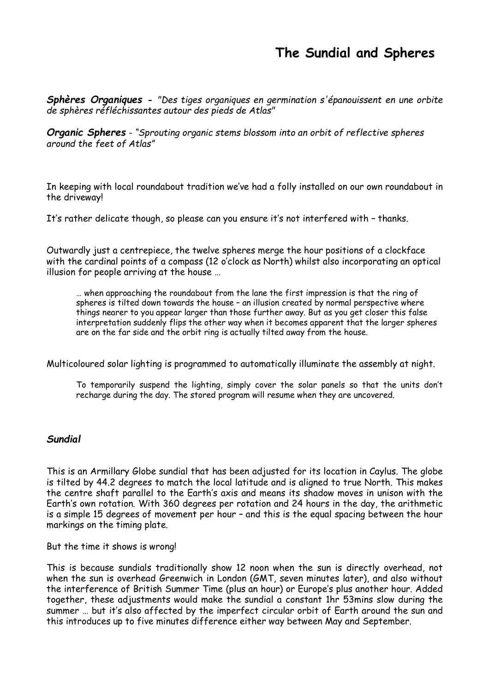## **The Sundial and Spheres**

*Sphères Organiques - "Des tiges organiques en germination s'épanouissent en une orbite de sphères réfléchissantes autour des pieds de Atlas"*

*Organic Spheres - "Sprouting organic stems blossom into an orbit of reflective spheres around the feet of Atlas"*

In keeping with local roundabout tradition we've had a folly installed on our own roundabout in the driveway!

It's rather delicate though, so please can you ensure it's not interfered with – thanks.

Outwardly just a centrepiece, the twelve spheres merge the hour positions of a clockface with the cardinal points of a compass (12 o'clock as North) whilst also incorporating an optical illusion for people arriving at the house …

… when approaching the roundabout from the lane the first impression is that the ring of spheres is tilted down towards the house – an illusion created by normal perspective where things nearer to you appear larger than those further away. But as you get closer this false interpretation suddenly flips the other way when it becomes apparent that the larger spheres are on the far side and the orbit ring is actually tilted away from the house.

Multicoloured solar lighting is programmed to automatically illuminate the assembly at night.

To temporarily suspend the lighting, simply cover the solar panels so that the units don't recharge during the day. The stored program will resume when they are uncovered.

#### *Sundial*

This is an Armillary Globe sundial that has been adjusted for its location in Caylus. The globe is tilted by 44.2 degrees to match the local latitude and is aligned to true North. This makes the centre shaft parallel to the Earth's axis and means its shadow moves in unison with the Earth's own rotation. With 360 degrees per rotation and 24 hours in the day, the arithmetic is a simple 15 degrees of movement per hour – and this is the equal spacing between the hour markings on the timing plate.

But the time it shows is wrong!

This is because sundials traditionally show 12 noon when the sun is directly overhead, not when the sun is overhead Greenwich in London (GMT, seven minutes later), and also without the interference of British Summer Time (plus an hour) or Europe's plus another hour. Added together, these adjustments would make the sundial a constant 1hr 53mins slow during the summer … but it's also affected by the imperfect circular orbit of Earth around the sun and this introduces up to five minutes difference either way between May and September.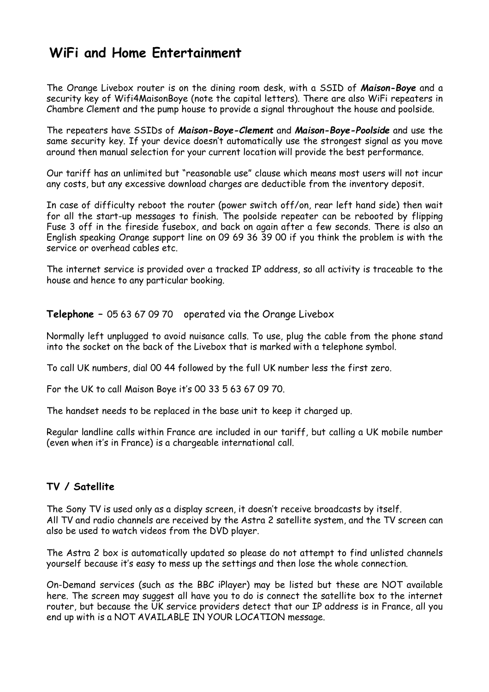## **WiFi and Home Entertainment**

The Orange Livebox router is on the dining room desk, with a SSID of *Maison-Boye* and a security key of Wifi4MaisonBoye (note the capital letters). There are also WiFi repeaters in Chambre Clement and the pump house to provide a signal throughout the house and poolside.

The repeaters have SSIDs of *Maison-Boye-Clement* and *Maison-Boye-Poolside* and use the same security key. If your device doesn't automatically use the strongest signal as you move around then manual selection for your current location will provide the best performance.

Our tariff has an unlimited but "reasonable use" clause which means most users will not incur any costs, but any excessive download charges are deductible from the inventory deposit.

In case of difficulty reboot the router (power switch off/on, rear left hand side) then wait for all the start-up messages to finish. The poolside repeater can be rebooted by flipping Fuse 3 off in the fireside fusebox, and back on again after a few seconds. There is also an English speaking Orange support line on 09 69 36 39 00 if you think the problem is with the service or overhead cables etc.

The internet service is provided over a tracked IP address, so all activity is traceable to the house and hence to any particular booking.

**Telephone –** 05 63 67 09 70 operated via the Orange Livebox

Normally left unplugged to avoid nuisance calls. To use, plug the cable from the phone stand into the socket on the back of the Livebox that is marked with a telephone symbol.

To call UK numbers, dial 00 44 followed by the full UK number less the first zero.

For the UK to call Maison Boye it's 00 33 5 63 67 09 70.

The handset needs to be replaced in the base unit to keep it charged up.

Regular landline calls within France are included in our tariff, but calling a UK mobile number (even when it's in France) is a chargeable international call.

#### **TV / Satellite**

The Sony TV is used only as a display screen, it doesn't receive broadcasts by itself. All TV and radio channels are received by the Astra 2 satellite system, and the TV screen can also be used to watch videos from the DVD player.

The Astra 2 box is automatically updated so please do not attempt to find unlisted channels yourself because it's easy to mess up the settings and then lose the whole connection.

On-Demand services (such as the BBC iPlayer) may be listed but these are NOT available here. The screen may suggest all have you to do is connect the satellite box to the internet router, but because the UK service providers detect that our IP address is in France, all you end up with is a NOT AVAILABLE IN YOUR LOCATION message.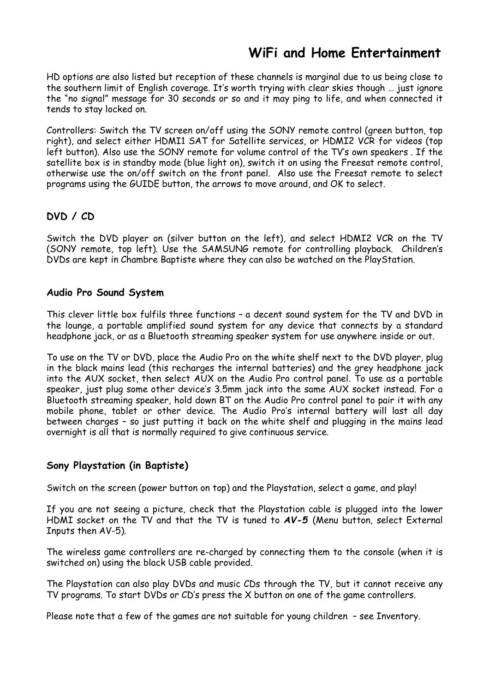## **WiFi and Home Entertainment**

HD options are also listed but reception of these channels is marginal due to us being close to the southern limit of English coverage. It's worth trying with clear skies though … just ignore the "no signal" message for 30 seconds or so and it may ping to life, and when connected it tends to stay locked on.

Controllers: Switch the TV screen on/off using the SONY remote control (green button, top right), and select either HDMI1 SAT for Satellite services, or HDMI2 VCR for videos (top left button). Also use the SONY remote for volume control of the TV's own speakers . If the satellite box is in standby mode (blue light on), switch it on using the Freesat remote control, otherwise use the on/off switch on the front panel. Also use the Freesat remote to select programs using the GUIDE button, the arrows to move around, and OK to select.

#### **DVD / CD**

Switch the DVD player on (silver button on the left), and select HDMI2 VCR on the TV (SONY remote, top left). Use the SAMSUNG remote for controlling playback. Children's DVDs are kept in Chambre Baptiste where they can also be watched on the PlayStation.

#### **Audio Pro Sound System**

This clever little box fulfils three functions – a decent sound system for the TV and DVD in the lounge, a portable amplified sound system for any device that connects by a standard headphone jack, or as a Bluetooth streaming speaker system for use anywhere inside or out.

To use on the TV or DVD, place the Audio Pro on the white shelf next to the DVD player, plug in the black mains lead (this recharges the internal batteries) and the grey headphone jack into the AUX socket, then select AUX on the Audio Pro control panel. To use as a portable speaker, just plug some other device's 3.5mm jack into the same AUX socket instead. For a Bluetooth streaming speaker, hold down BT on the Audio Pro control panel to pair it with any mobile phone, tablet or other device. The Audio Pro's internal battery will last all day between charges – so just putting it back on the white shelf and plugging in the mains lead overnight is all that is normally required to give continuous service.

#### **Sony Playstation (in Baptiste)**

Switch on the screen (power button on top) and the Playstation, select a game, and play!

If you are not seeing a picture, check that the Playstation cable is plugged into the lower HDMI socket on the TV and that the TV is tuned to *AV-5* (Menu button, select External Inputs then AV-5).

The wireless game controllers are re-charged by connecting them to the console (when it is switched on) using the black USB cable provided.

The Playstation can also play DVDs and music CDs through the TV, but it cannot receive any TV programs. To start DVDs or CD's press the X button on one of the game controllers.

Please note that a few of the games are not suitable for young children – see Inventory.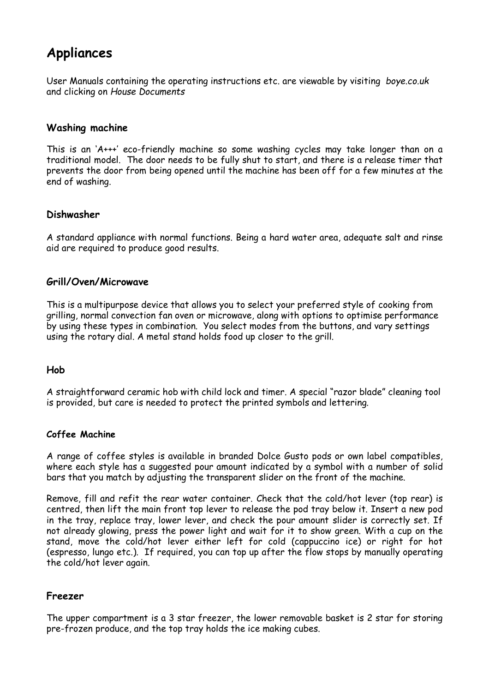## **Appliances**

User Manuals containing the operating instructions etc. are viewable by visiting *boye.co.uk* and clicking on *House Documents*

#### **Washing machine**

This is an 'A+++' eco-friendly machine so some washing cycles may take longer than on a traditional model. The door needs to be fully shut to start, and there is a release timer that prevents the door from being opened until the machine has been off for a few minutes at the end of washing.

#### **Dishwasher**

A standard appliance with normal functions. Being a hard water area, adequate salt and rinse aid are required to produce good results.

#### **Grill/Oven/Microwave**

This is a multipurpose device that allows you to select your preferred style of cooking from grilling, normal convection fan oven or microwave, along with options to optimise performance by using these types in combination. You select modes from the buttons, and vary settings using the rotary dial. A metal stand holds food up closer to the grill.

#### **Hob**

A straightforward ceramic hob with child lock and timer. A special "razor blade" cleaning tool is provided, but care is needed to protect the printed symbols and lettering.

#### **Coffee Machine**

A range of coffee styles is available in branded Dolce Gusto pods or own label compatibles, where each style has a suggested pour amount indicated by a symbol with a number of solid bars that you match by adjusting the transparent slider on the front of the machine.

Remove, fill and refit the rear water container. Check that the cold/hot lever (top rear) is centred, then lift the main front top lever to release the pod tray below it. Insert a new pod in the tray, replace tray, lower lever, and check the pour amount slider is correctly set. If not already glowing, press the power light and wait for it to show green. With a cup on the stand, move the cold/hot lever either left for cold (cappuccino ice) or right for hot (espresso, lungo etc.). If required, you can top up after the flow stops by manually operating the cold/hot lever again.

#### **Freezer**

The upper compartment is a 3 star freezer, the lower removable basket is 2 star for storing pre-frozen produce, and the top tray holds the ice making cubes.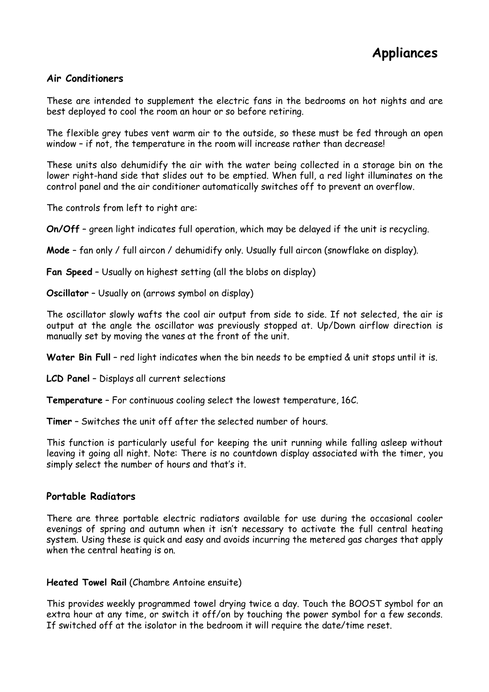#### **Air Conditioners**

These are intended to supplement the electric fans in the bedrooms on hot nights and are best deployed to cool the room an hour or so before retiring.

The flexible grey tubes vent warm air to the outside, so these must be fed through an open window – if not, the temperature in the room will increase rather than decrease!

These units also dehumidify the air with the water being collected in a storage bin on the lower right-hand side that slides out to be emptied. When full, a red light illuminates on the control panel and the air conditioner automatically switches off to prevent an overflow.

The controls from left to right are:

**On/Off** – green light indicates full operation, which may be delayed if the unit is recycling.

**Mode** – fan only / full aircon / dehumidify only. Usually full aircon (snowflake on display).

**Fan Speed** – Usually on highest setting (all the blobs on display)

**Oscillator** – Usually on (arrows symbol on display)

The oscillator slowly wafts the cool air output from side to side. If not selected, the air is output at the angle the oscillator was previously stopped at. Up/Down airflow direction is manually set by moving the vanes at the front of the unit.

**Water Bin Full** – red light indicates when the bin needs to be emptied & unit stops until it is.

**LCD Panel** – Displays all current selections

**Temperature** – For continuous cooling select the lowest temperature, 16C.

**Timer** – Switches the unit off after the selected number of hours.

This function is particularly useful for keeping the unit running while falling asleep without leaving it going all night. Note: There is no countdown display associated with the timer, you simply select the number of hours and that's it.

#### **Portable Radiators**

There are three portable electric radiators available for use during the occasional cooler evenings of spring and autumn when it isn't necessary to activate the full central heating system. Using these is quick and easy and avoids incurring the metered gas charges that apply when the central heating is on.

**Heated Towel Rail** (Chambre Antoine ensuite)

This provides weekly programmed towel drying twice a day. Touch the BOOST symbol for an extra hour at any time, or switch it off/on by touching the power symbol for a few seconds. If switched off at the isolator in the bedroom it will require the date/time reset.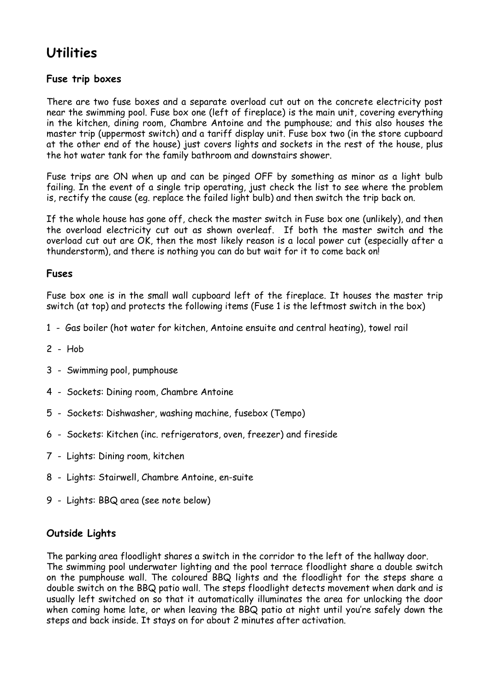## **Utilities**

#### **Fuse trip boxes**

There are two fuse boxes and a separate overload cut out on the concrete electricity post near the swimming pool. Fuse box one (left of fireplace) is the main unit, covering everything in the kitchen, dining room, Chambre Antoine and the pumphouse; and this also houses the master trip (uppermost switch) and a tariff display unit. Fuse box two (in the store cupboard at the other end of the house) just covers lights and sockets in the rest of the house, plus the hot water tank for the family bathroom and downstairs shower.

Fuse trips are ON when up and can be pinged OFF by something as minor as a light bulb failing. In the event of a single trip operating, just check the list to see where the problem is, rectify the cause (eg. replace the failed light bulb) and then switch the trip back on.

If the whole house has gone off, check the master switch in Fuse box one (unlikely), and then the overload electricity cut out as shown overleaf. If both the master switch and the overload cut out are OK, then the most likely reason is a local power cut (especially after a thunderstorm), and there is nothing you can do but wait for it to come back on!

#### **Fuses**

Fuse box one is in the small wall cupboard left of the fireplace. It houses the master trip switch (at top) and protects the following items (Fuse 1 is the leftmost switch in the box)

- 1 Gas boiler (hot water for kitchen, Antoine ensuite and central heating), towel rail
- 2 Hob
- 3 Swimming pool, pumphouse
- 4 Sockets: Dining room, Chambre Antoine
- 5 Sockets: Dishwasher, washing machine, fusebox (Tempo)
- 6 Sockets: Kitchen (inc. refrigerators, oven, freezer) and fireside
- 7 Lights: Dining room, kitchen
- 8 Lights: Stairwell, Chambre Antoine, en-suite
- 9 Lights: BBQ area (see note below)

#### **Outside Lights**

The parking area floodlight shares a switch in the corridor to the left of the hallway door. The swimming pool underwater lighting and the pool terrace floodlight share a double switch on the pumphouse wall. The coloured BBQ lights and the floodlight for the steps share a double switch on the BBQ patio wall. The steps floodlight detects movement when dark and is usually left switched on so that it automatically illuminates the area for unlocking the door when coming home late, or when leaving the BBQ patio at night until you're safely down the steps and back inside. It stays on for about 2 minutes after activation.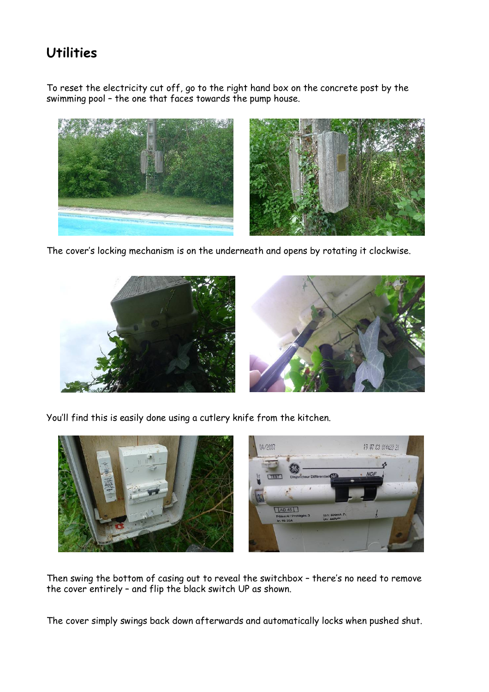## **Utilities**

To reset the electricity cut off, go to the right hand box on the concrete post by the swimming pool – the one that faces towards the pump house.



The cover's locking mechanism is on the underneath and opens by rotating it clockwise.



You'll find this is easily done using a cutlery knife from the kitchen.



Then swing the bottom of casing out to reveal the switchbox – there's no need to remove the cover entirely – and flip the black switch UP as shown.

The cover simply swings back down afterwards and automatically locks when pushed shut.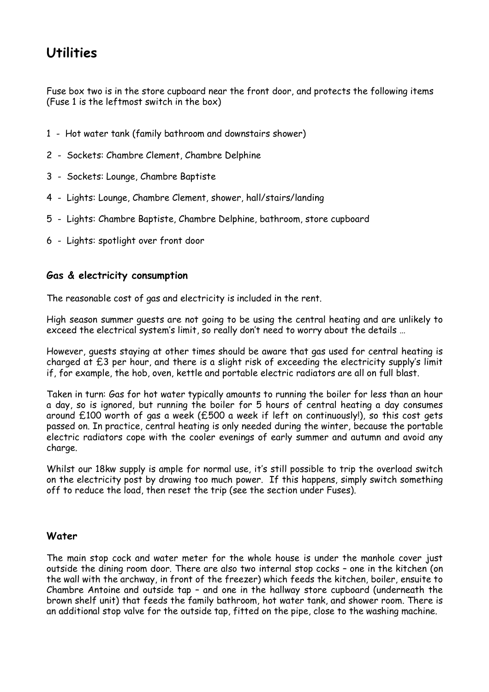## **Utilities**

Fuse box two is in the store cupboard near the front door, and protects the following items (Fuse 1 is the leftmost switch in the box)

- 1 Hot water tank (family bathroom and downstairs shower)
- 2 Sockets: Chambre Clement, Chambre Delphine
- 3 Sockets: Lounge, Chambre Baptiste
- 4 Lights: Lounge, Chambre Clement, shower, hall/stairs/landing
- 5 Lights: Chambre Baptiste, Chambre Delphine, bathroom, store cupboard
- 6 Lights: spotlight over front door

#### **Gas & electricity consumption**

The reasonable cost of gas and electricity is included in the rent.

High season summer guests are not going to be using the central heating and are unlikely to exceed the electrical system's limit, so really don't need to worry about the details …

However, guests staying at other times should be aware that gas used for central heating is charged at £3 per hour, and there is a slight risk of exceeding the electricity supply's limit if, for example, the hob, oven, kettle and portable electric radiators are all on full blast.

Taken in turn: Gas for hot water typically amounts to running the boiler for less than an hour a day, so is ignored, but running the boiler for 5 hours of central heating a day consumes around £100 worth of gas a week (£500 a week if left on continuously!), so this cost gets passed on. In practice, central heating is only needed during the winter, because the portable electric radiators cope with the cooler evenings of early summer and autumn and avoid any charge.

Whilst our 18kw supply is ample for normal use, it's still possible to trip the overload switch on the electricity post by drawing too much power. If this happens, simply switch something off to reduce the load, then reset the trip (see the section under Fuses).

#### **Water**

The main stop cock and water meter for the whole house is under the manhole cover just outside the dining room door. There are also two internal stop cocks – one in the kitchen (on the wall with the archway, in front of the freezer) which feeds the kitchen, boiler, ensuite to Chambre Antoine and outside tap – and one in the hallway store cupboard (underneath the brown shelf unit) that feeds the family bathroom, hot water tank, and shower room. There is an additional stop valve for the outside tap, fitted on the pipe, close to the washing machine.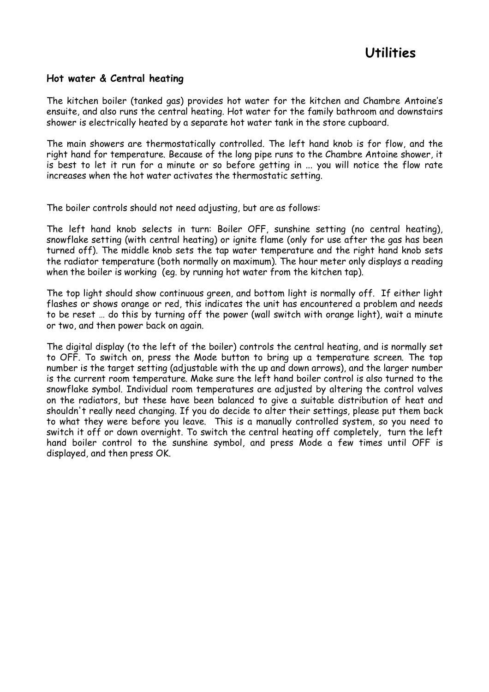#### **Hot water & Central heating**

The kitchen boiler (tanked gas) provides hot water for the kitchen and Chambre Antoine's ensuite, and also runs the central heating. Hot water for the family bathroom and downstairs shower is electrically heated by a separate hot water tank in the store cupboard.

The main showers are thermostatically controlled. The left hand knob is for flow, and the right hand for temperature. Because of the long pipe runs to the Chambre Antoine shower, it is best to let it run for a minute or so before getting in ... you will notice the flow rate increases when the hot water activates the thermostatic setting.

The boiler controls should not need adjusting, but are as follows:

The left hand knob selects in turn: Boiler OFF, sunshine setting (no central heating), snowflake setting (with central heating) or ignite flame (only for use after the gas has been turned off). The middle knob sets the tap water temperature and the right hand knob sets the radiator temperature (both normally on maximum). The hour meter only displays a reading when the boiler is working (eg. by running hot water from the kitchen tap).

The top light should show continuous green, and bottom light is normally off. If either light flashes or shows orange or red, this indicates the unit has encountered a problem and needs to be reset … do this by turning off the power (wall switch with orange light), wait a minute or two, and then power back on again.

The digital display (to the left of the boiler) controls the central heating, and is normally set to OFF. To switch on, press the Mode button to bring up a temperature screen. The top number is the target setting (adjustable with the up and down arrows), and the larger number is the current room temperature. Make sure the left hand boiler control is also turned to the snowflake symbol. Individual room temperatures are adjusted by altering the control valves on the radiators, but these have been balanced to give a suitable distribution of heat and shouldn't really need changing. If you do decide to alter their settings, please put them back to what they were before you leave. This is a manually controlled system, so you need to switch it off or down overnight. To switch the central heating off completely, turn the left hand boiler control to the sunshine symbol, and press Mode a few times until OFF is displayed, and then press OK.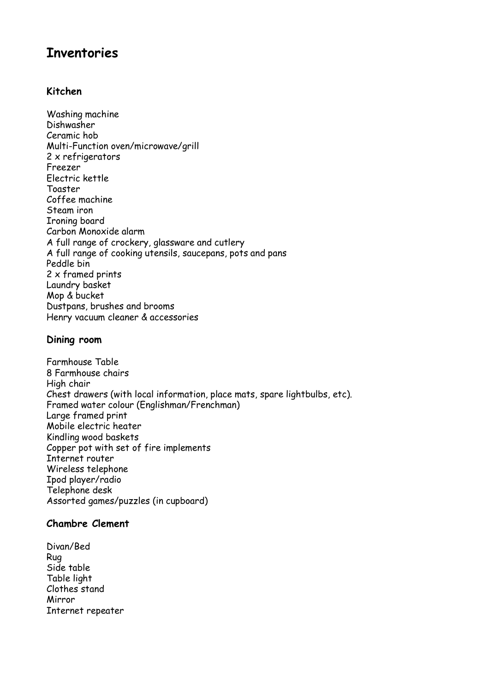#### **Kitchen**

Washing machine Dishwasher Ceramic hob Multi-Function oven/microwave/grill 2 x refrigerators Freezer Electric kettle Toaster Coffee machine Steam iron Ironing board Carbon Monoxide alarm A full range of crockery, glassware and cutlery A full range of cooking utensils, saucepans, pots and pans Peddle bin 2 x framed prints Laundry basket Mop & bucket Dustpans, brushes and brooms Henry vacuum cleaner & accessories

#### **Dining room**

Farmhouse Table 8 Farmhouse chairs High chair Chest drawers (with local information, place mats, spare lightbulbs, etc). Framed water colour (Englishman/Frenchman) Large framed print Mobile electric heater Kindling wood baskets Copper pot with set of fire implements Internet router Wireless telephone Ipod player/radio Telephone desk Assorted games/puzzles (in cupboard)

#### **Chambre Clement**

Divan/Bed Rug Side table Table light Clothes stand Mirror Internet repeater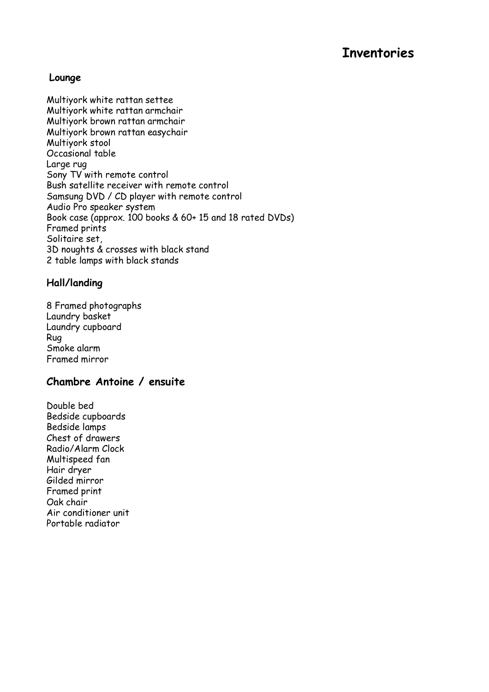#### **Lounge**

Multiyork white rattan settee Multiyork white rattan armchair Multiyork brown rattan armchair Multiyork brown rattan easychair Multiyork stool Occasional table Large rug Sony TV with remote control Bush satellite receiver with remote control Samsung DVD / CD player with remote control Audio Pro speaker system Book case (approx. 100 books & 60+ 15 and 18 rated DVDs) Framed prints Solitaire set, 3D noughts & crosses with black stand 2 table lamps with black stands

#### **Hall/landing**

8 Framed photographs Laundry basket Laundry cupboard Rug Smoke alarm Framed mirror

#### **Chambre Antoine / ensuite**

Double bed Bedside cupboards Bedside lamps Chest of drawers Radio/Alarm Clock Multispeed fan Hair dryer Gilded mirror Framed print Oak chair Air conditioner unit Portable radiator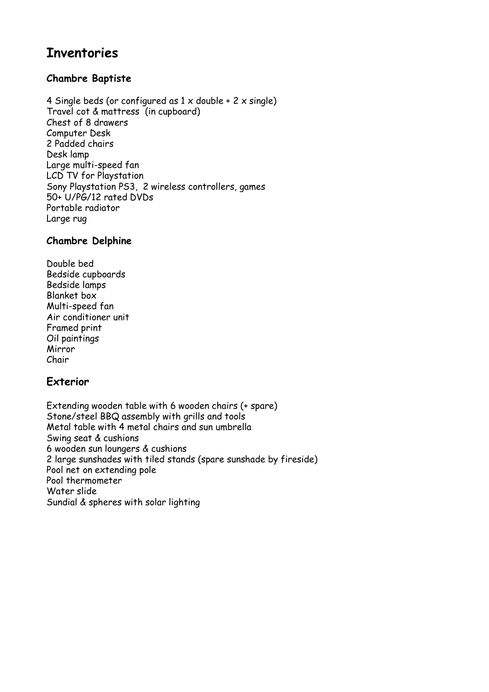#### **Chambre Baptiste**

4 Single beds (or configured as  $1 \times$  double +  $2 \times$  single) Travel cot & mattress (in cupboard) Chest of 8 drawers Computer Desk 2 Padded chairs Desk lamp Large multi-speed fan LCD TV for Playstation Sony Playstation PS3, 2 wireless controllers, games 50+ U/PG/12 rated DVDs Portable radiator Large rug

#### **Chambre Delphine**

Double bed Bedside cupboards Bedside lamps Blanket box Multi-speed fan Air conditioner unit Framed print Oil paintings Mirror Chair

#### **Exterior**

Extending wooden table with 6 wooden chairs (+ spare) Stone/steel BBQ assembly with grills and tools Metal table with 4 metal chairs and sun umbrella Swing seat & cushions 6 wooden sun loungers & cushions 2 large sunshades with tiled stands (spare sunshade by fireside) Pool net on extending pole Pool thermometer Water slide Sundial & spheres with solar lighting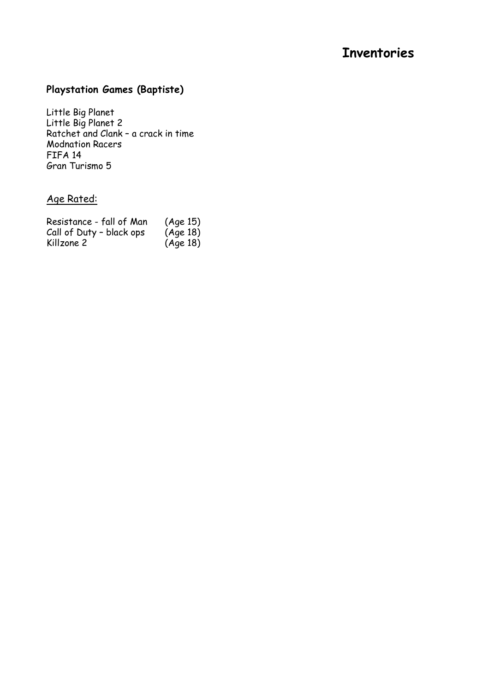### **Playstation Games (Baptiste)**

Little Big Planet Little Big Planet 2 Ratchet and Clank – a crack in time Modnation Racers FIFA 14 Gran Turismo 5

#### Age Rated:

| Resistance - fall of Man | (Age 15) |
|--------------------------|----------|
| Call of Duty - black ops | (Age 18) |
| Killzone 2               | (Aqe18)  |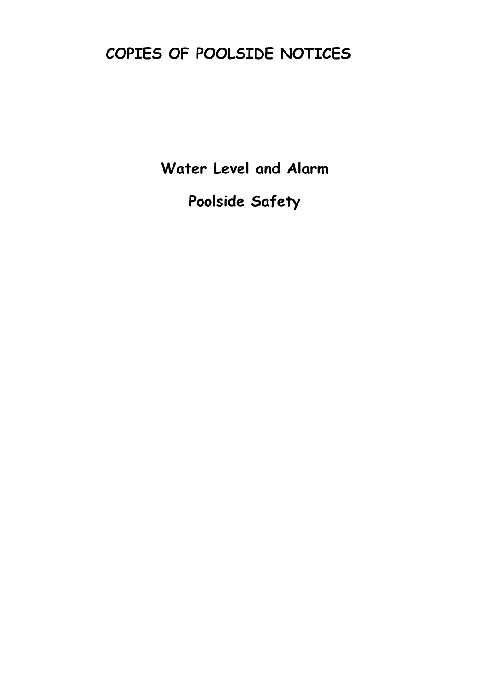# **COPIES OF POOLSIDE NOTICES**

**Water Level and Alarm** 

**Poolside Safety**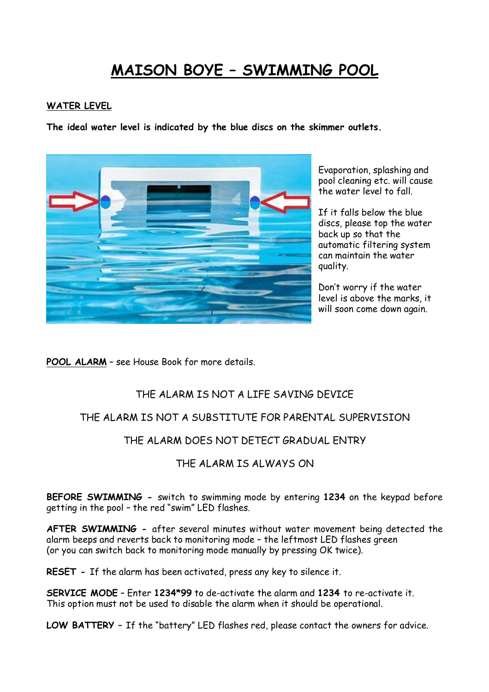## **MAISON BOYE – SWIMMING POOL**

#### **WATER LEVEL**

**The ideal water level is indicated by the blue discs on the skimmer outlets.**



Evaporation, splashing and pool cleaning etc. will cause the water level to fall.

If it falls below the blue discs, please top the water back up so that the automatic filtering system can maintain the water quality.

Don't worry if the water level is above the marks, it will soon come down again.

**POOL ALARM** – see House Book for more details.

#### THE ALARM IS NOT A LIFE SAVING DEVICE

#### THE ALARM IS NOT A SUBSTITUTE FOR PARENTAL SUPERVISION

#### THE ALARM DOES NOT DETECT GRADUAL ENTRY

#### THE ALARM IS ALWAYS ON

**BEFORE SWIMMING -** switch to swimming mode by entering **1234** on the keypad before getting in the pool – the red "swim" LED flashes.

**AFTER SWIMMING -** after several minutes without water movement being detected the alarm beeps and reverts back to monitoring mode – the leftmost LED flashes green (or you can switch back to monitoring mode manually by pressing OK twice).

**RESET -** If the alarm has been activated, press any key to silence it.

**SERVICE MODE** – Enter **1234\*99** to de-activate the alarm and **1234** to re-activate it. This option must not be used to disable the alarm when it should be operational.

**LOW BATTERY –** If the "battery" LED flashes red, please contact the owners for advice.